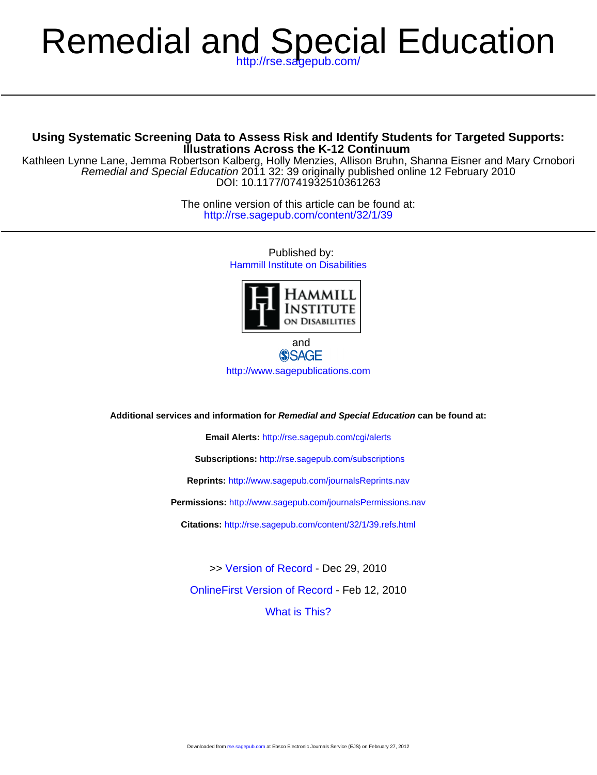# Remedial and Special Education

# **Illustrations Across the K-12 Continuum Using Systematic Screening Data to Assess Risk and Identify Students for Targeted Supports:**

DOI: 10.1177/0741932510361263 Remedial and Special Education 2011 32: 39 originally published online 12 February 2010 Kathleen Lynne Lane, Jemma Robertson Kalberg, Holly Menzies, Allison Bruhn, Shanna Eisner and Mary Crnobori

> <http://rse.sagepub.com/content/32/1/39> The online version of this article can be found at:

> > Published by: [Hammill Institute on Disabilities](http://www.hammill-institute.org/)



and **SSAGE** <http://www.sagepublications.com>

**Additional services and information for Remedial and Special Education can be found at:**

**Email Alerts:** <http://rse.sagepub.com/cgi/alerts>

**Subscriptions:** <http://rse.sagepub.com/subscriptions>

**Reprints:** <http://www.sagepub.com/journalsReprints.nav>

**Permissions:** <http://www.sagepub.com/journalsPermissions.nav>

**Citations:** <http://rse.sagepub.com/content/32/1/39.refs.html>

[What is This?](http://online.sagepub.com/site/sphelp/vorhelp.xhtml) [OnlineFirst Version of Record](http://rse.sagepub.com/content/early/2010/02/12/0741932510361263.full.pdf) - Feb 12, 2010 >> [Version of Record -](http://rse.sagepub.com/content/32/1/39.full.pdf) Dec 29, 2010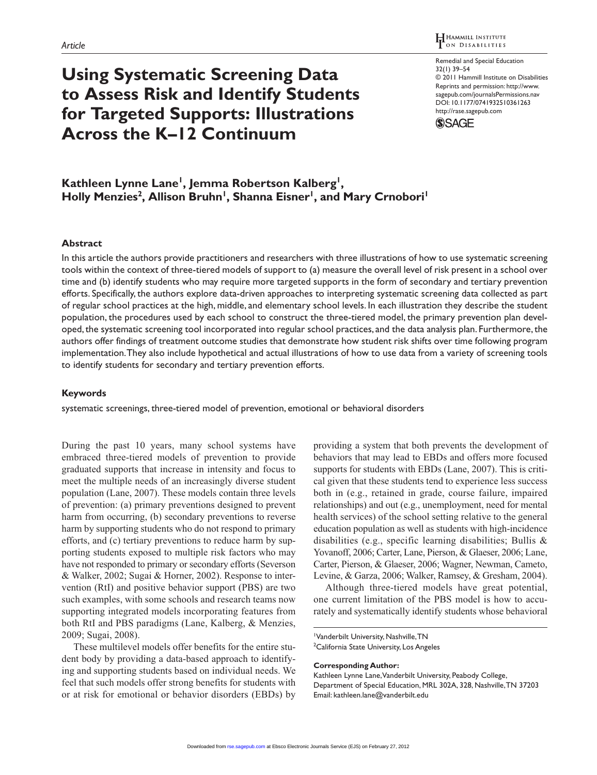# **Using Systematic Screening Data to Assess Risk and Identify Students for Targeted Supports: Illustrations Across the K–12 Continuum**

Remedial and Special Education 32(1) 39–54 © 2011 Hammill Institute on Disabilities Reprints and permission: http://www. sagepub.com/journalsPermissions.nav DOI: 10.1177/0741932510361263 http://rase.sagepub.com



**Kathleen Lynne Lane1 , Jemma Robertson Kalberg1 , Holly Menzies2 , Allison Bruhn1 , Shanna Eisner1 , and Mary Crnobori1**

#### **Abstract**

In this article the authors provide practitioners and researchers with three illustrations of how to use systematic screening tools within the context of three-tiered models of support to (a) measure the overall level of risk present in a school over time and (b) identify students who may require more targeted supports in the form of secondary and tertiary prevention efforts. Specifically, the authors explore data-driven approaches to interpreting systematic screening data collected as part of regular school practices at the high, middle, and elementary school levels. In each illustration they describe the student population, the procedures used by each school to construct the three-tiered model, the primary prevention plan developed, the systematic screening tool incorporated into regular school practices, and the data analysis plan. Furthermore, the authors offer findings of treatment outcome studies that demonstrate how student risk shifts over time following program implementation. They also include hypothetical and actual illustrations of how to use data from a variety of screening tools to identify students for secondary and tertiary prevention efforts.

#### **Keywords**

systematic screenings, three-tiered model of prevention, emotional or behavioral disorders

During the past 10 years, many school systems have embraced three-tiered models of prevention to provide graduated supports that increase in intensity and focus to meet the multiple needs of an increasingly diverse student population (Lane, 2007). These models contain three levels of prevention: (a) primary preventions designed to prevent harm from occurring, (b) secondary preventions to reverse harm by supporting students who do not respond to primary efforts, and (c) tertiary preventions to reduce harm by supporting students exposed to multiple risk factors who may have not responded to primary or secondary efforts (Severson & Walker, 2002; Sugai & Horner, 2002). Response to intervention (RtI) and positive behavior support (PBS) are two such examples, with some schools and research teams now supporting integrated models incorporating features from both RtI and PBS paradigms (Lane, Kalberg, & Menzies, 2009; Sugai, 2008).

These multilevel models offer benefits for the entire student body by providing a data-based approach to identifying and supporting students based on individual needs. We feel that such models offer strong benefits for students with or at risk for emotional or behavior disorders (EBDs) by

providing a system that both prevents the development of behaviors that may lead to EBDs and offers more focused supports for students with EBDs (Lane, 2007). This is critical given that these students tend to experience less success both in (e.g., retained in grade, course failure, impaired relationships) and out (e.g., unemployment, need for mental health services) of the school setting relative to the general education population as well as students with high-incidence disabilities (e.g., specific learning disabilities; Bullis & Yovanoff, 2006; Carter, Lane, Pierson, & Glaeser, 2006; Lane, Carter, Pierson, & Glaeser, 2006; Wagner, Newman, Cameto, Levine, & Garza, 2006; Walker, Ramsey, & Gresham, 2004).

Although three-tiered models have great potential, one current limitation of the PBS model is how to accurately and systematically identify students whose behavioral

#### **Corresponding Author:**

<sup>&</sup>lt;sup>1</sup>Vanderbilt University, Nashville, TN <sup>2</sup>California State University, Los Angeles

Kathleen Lynne Lane, Vanderbilt University, Peabody College, Department of Special Education, MRL 302A, 328, Nashville, TN 37203 Email: kathleen.lane@vanderbilt.edu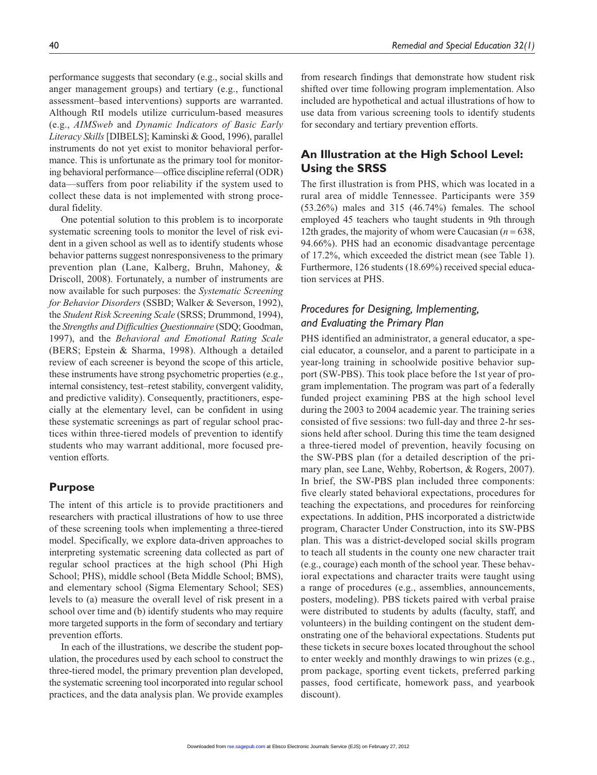performance suggests that secondary (e.g., social skills and anger management groups) and tertiary (e.g., functional assessment–based interventions) supports are warranted. Although RtI models utilize curriculum-based measures (e.g., *AIMSweb* and *Dynamic Indicators of Basic Early Literacy Skills* [DIBELS]; Kaminski & Good, 1996), parallel instruments do not yet exist to monitor behavioral performance. This is unfortunate as the primary tool for monitoring behavioral performance—office discipline referral (ODR) data—suffers from poor reliability if the system used to collect these data is not implemented with strong procedural fidelity.

One potential solution to this problem is to incorporate systematic screening tools to monitor the level of risk evident in a given school as well as to identify students whose behavior patterns suggest nonresponsiveness to the primary prevention plan (Lane, Kalberg, Bruhn, Mahoney, & Driscoll, 2008). Fortunately, a number of instruments are now available for such purposes: the *Systematic Screening for Behavior Disorders* (SSBD; Walker & Severson, 1992), the *Student Risk Screening Scale* (SRSS; Drummond, 1994), the *Strengths and Difficulties Questionnaire* (SDQ; Goodman, 1997), and the *Behavioral and Emotional Rating Scale*  (BERS; Epstein & Sharma, 1998). Although a detailed review of each screener is beyond the scope of this article, these instruments have strong psychometric properties (e.g., internal consistency, test–retest stability, convergent validity, and predictive validity). Consequently, practitioners, especially at the elementary level, can be confident in using these systematic screenings as part of regular school practices within three-tiered models of prevention to identify students who may warrant additional, more focused prevention efforts.

## **Purpose**

The intent of this article is to provide practitioners and researchers with practical illustrations of how to use three of these screening tools when implementing a three-tiered model. Specifically, we explore data-driven approaches to interpreting systematic screening data collected as part of regular school practices at the high school (Phi High School; PHS), middle school (Beta Middle School; BMS), and elementary school (Sigma Elementary School; SES) levels to (a) measure the overall level of risk present in a school over time and (b) identify students who may require more targeted supports in the form of secondary and tertiary prevention efforts.

In each of the illustrations, we describe the student population, the procedures used by each school to construct the three-tiered model, the primary prevention plan developed, the systematic screening tool incorporated into regular school practices, and the data analysis plan. We provide examples from research findings that demonstrate how student risk shifted over time following program implementation. Also included are hypothetical and actual illustrations of how to use data from various screening tools to identify students for secondary and tertiary prevention efforts.

# **An Illustration at the High School Level: Using the SRSS**

The first illustration is from PHS, which was located in a rural area of middle Tennessee. Participants were 359 (53.26%) males and 315 (46.74%) females. The school employed 45 teachers who taught students in 9th through 12th grades, the majority of whom were Caucasian (*n* = 638, 94.66%). PHS had an economic disadvantage percentage of 17.2%, which exceeded the district mean (see Table 1). Furthermore, 126 students (18.69%) received special education services at PHS.

# *Procedures for Designing, Implementing, and Evaluating the Primary Plan*

PHS identified an administrator, a general educator, a special educator, a counselor, and a parent to participate in a year-long training in schoolwide positive behavior support (SW-PBS). This took place before the 1st year of program implementation. The program was part of a federally funded project examining PBS at the high school level during the 2003 to 2004 academic year. The training series consisted of five sessions: two full-day and three 2-hr sessions held after school. During this time the team designed a three-tiered model of prevention, heavily focusing on the SW-PBS plan (for a detailed description of the primary plan, see Lane, Wehby, Robertson, & Rogers, 2007). In brief, the SW-PBS plan included three components: five clearly stated behavioral expectations, procedures for teaching the expectations, and procedures for reinforcing expectations. In addition, PHS incorporated a districtwide program, Character Under Construction, into its SW-PBS plan. This was a district-developed social skills program to teach all students in the county one new character trait (e.g., courage) each month of the school year. These behavioral expectations and character traits were taught using a range of procedures (e.g., assemblies, announcements, posters, modeling). PBS tickets paired with verbal praise were distributed to students by adults (faculty, staff, and volunteers) in the building contingent on the student demonstrating one of the behavioral expectations. Students put these tickets in secure boxes located throughout the school to enter weekly and monthly drawings to win prizes (e.g., prom package, sporting event tickets, preferred parking passes, food certificate, homework pass, and yearbook discount).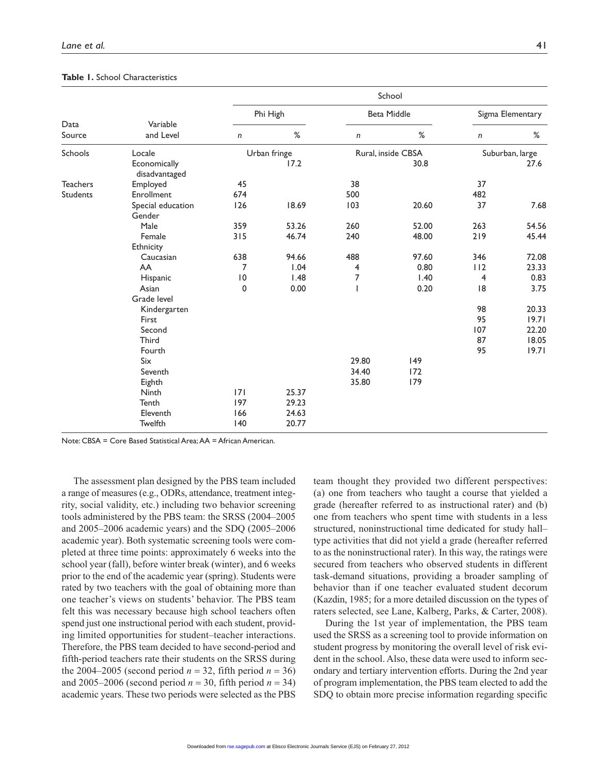| Data<br>Source | Variable<br>and Level         | School       |       |                    |                    |                  |       |  |  |
|----------------|-------------------------------|--------------|-------|--------------------|--------------------|------------------|-------|--|--|
|                |                               | Phi High     |       |                    | <b>Beta Middle</b> | Sigma Elementary |       |  |  |
|                |                               | n            | %     | n                  | $\%$               | n                | %     |  |  |
| Schools        | Locale                        | Urban fringe |       | Rural, inside CBSA |                    | Suburban, large  |       |  |  |
|                | Economically<br>disadvantaged |              | 17.2  |                    | 30.8               |                  | 27.6  |  |  |
| Teachers       | Employed                      | 45           |       | 38                 |                    | 37               |       |  |  |
| Students       | Enrollment                    | 674          |       | 500                |                    | 482              |       |  |  |
|                | Special education             | 126          | 18.69 | 103                | 20.60              | 37               | 7.68  |  |  |
|                | Gender                        |              |       |                    |                    |                  |       |  |  |
|                | Male                          | 359          | 53.26 | 260                | 52.00              | 263              | 54.56 |  |  |
|                | Female                        | 315          | 46.74 | 240                | 48.00              | 219              | 45.44 |  |  |
|                | Ethnicity                     |              |       |                    |                    |                  |       |  |  |
|                | Caucasian                     | 638          | 94.66 | 488                | 97.60              | 346              | 72.08 |  |  |
|                | AA                            |              | 1.04  | 4                  | 0.80               | 112              | 23.33 |  |  |
|                | Hispanic                      | 10           | 1.48  |                    | 1.40               | 4                | 0.83  |  |  |
|                | Asian                         | 0            | 0.00  |                    | 0.20               | 18               | 3.75  |  |  |

Kindergarten 98 20.33 First 95 19.71 Second 107 22.20 Third 87 18.05 Fourth 95 19.71

Six 29.80 149 Seventh 172 Eighth 35.80 179

Ninth 171 25.37 Tenth 197 29.23 Eleventh 166 24.63 Twelfth 140 20.77

#### **Table 1.** School Chara

Note: CBSA = Core Based Statistical Area; AA = African American.

Grade level

The assessment plan designed by the PBS team included a range of measures (e.g., ODRs, attendance, treatment integrity, social validity, etc.) including two behavior screening tools administered by the PBS team: the SRSS (2004–2005 and 2005–2006 academic years) and the SDQ (2005–2006 academic year). Both systematic screening tools were completed at three time points: approximately 6 weeks into the school year (fall), before winter break (winter), and 6 weeks prior to the end of the academic year (spring). Students were rated by two teachers with the goal of obtaining more than one teacher's views on students' behavior. The PBS team felt this was necessary because high school teachers often spend just one instructional period with each student, providing limited opportunities for student–teacher interactions. Therefore, the PBS team decided to have second-period and fifth-period teachers rate their students on the SRSS during the 2004–2005 (second period  $n = 32$ , fifth period  $n = 36$ ) and 2005–2006 (second period  $n = 30$ , fifth period  $n = 34$ ) academic years. These two periods were selected as the PBS

team thought they provided two different perspectives: (a) one from teachers who taught a course that yielded a grade (hereafter referred to as instructional rater) and (b) one from teachers who spent time with students in a less structured, noninstructional time dedicated for study hall– type activities that did not yield a grade (hereafter referred to as the noninstructional rater). In this way, the ratings were secured from teachers who observed students in different task-demand situations, providing a broader sampling of behavior than if one teacher evaluated student decorum (Kazdin, 1985; for a more detailed discussion on the types of raters selected, see Lane, Kalberg, Parks, & Carter, 2008).

During the 1st year of implementation, the PBS team used the SRSS as a screening tool to provide information on student progress by monitoring the overall level of risk evident in the school. Also, these data were used to inform secondary and tertiary intervention efforts. During the 2nd year of program implementation, the PBS team elected to add the SDQ to obtain more precise information regarding specific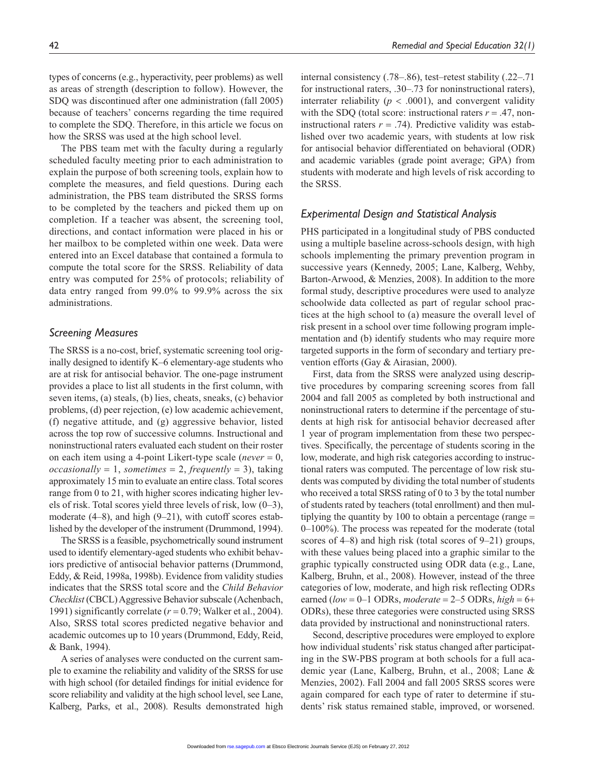types of concerns (e.g., hyperactivity, peer problems) as well as areas of strength (description to follow). However, the SDQ was discontinued after one administration (fall 2005) because of teachers' concerns regarding the time required to complete the SDQ. Therefore, in this article we focus on how the SRSS was used at the high school level.

The PBS team met with the faculty during a regularly scheduled faculty meeting prior to each administration to explain the purpose of both screening tools, explain how to complete the measures, and field questions. During each administration, the PBS team distributed the SRSS forms to be completed by the teachers and picked them up on completion. If a teacher was absent, the screening tool, directions, and contact information were placed in his or her mailbox to be completed within one week. Data were entered into an Excel database that contained a formula to compute the total score for the SRSS. Reliability of data entry was computed for 25% of protocols; reliability of data entry ranged from 99.0% to 99.9% across the six administrations.

#### *Screening Measures*

The SRSS is a no-cost, brief, systematic screening tool originally designed to identify K–6 elementary-age students who are at risk for antisocial behavior. The one-page instrument provides a place to list all students in the first column, with seven items, (a) steals, (b) lies, cheats, sneaks, (c) behavior problems, (d) peer rejection, (e) low academic achievement, (f) negative attitude, and (g) aggressive behavior, listed across the top row of successive columns. Instructional and noninstructional raters evaluated each student on their roster on each item using a 4-point Likert-type scale (*never* = 0, *occasionally* = 1, *sometimes* = 2, *frequently* = 3), taking approximately 15 min to evaluate an entire class. Total scores range from 0 to 21, with higher scores indicating higher levels of risk. Total scores yield three levels of risk, low  $(0-3)$ , moderate (4–8), and high (9–21), with cutoff scores established by the developer of the instrument (Drummond, 1994).

The SRSS is a feasible, psychometrically sound instrument used to identify elementary-aged students who exhibit behaviors predictive of antisocial behavior patterns (Drummond, Eddy, & Reid, 1998a, 1998b). Evidence from validity studies indicates that the SRSS total score and the *Child Behavior Checklist* (CBCL) Aggressive Behavior subscale (Achenbach, 1991) significantly correlate (*r* = 0.79; Walker et al., 2004). Also, SRSS total scores predicted negative behavior and academic outcomes up to 10 years (Drummond, Eddy, Reid, & Bank, 1994).

A series of analyses were conducted on the current sample to examine the reliability and validity of the SRSS for use with high school (for detailed findings for initial evidence for score reliability and validity at the high school level, see Lane, Kalberg, Parks, et al., 2008). Results demonstrated high internal consistency (.78–.86), test–retest stability (.22–.71 for instructional raters, .30–.73 for noninstructional raters), interrater reliability ( $p < .0001$ ), and convergent validity with the SDQ (total score: instructional raters  $r = .47$ , noninstructional raters  $r = .74$ ). Predictive validity was established over two academic years, with students at low risk for antisocial behavior differentiated on behavioral (ODR) and academic variables (grade point average; GPA) from students with moderate and high levels of risk according to the SRSS.

#### *Experimental Design and Statistical Analysis*

PHS participated in a longitudinal study of PBS conducted using a multiple baseline across-schools design, with high schools implementing the primary prevention program in successive years (Kennedy, 2005; Lane, Kalberg, Wehby, Barton-Arwood, & Menzies, 2008). In addition to the more formal study, descriptive procedures were used to analyze schoolwide data collected as part of regular school practices at the high school to (a) measure the overall level of risk present in a school over time following program implementation and (b) identify students who may require more targeted supports in the form of secondary and tertiary prevention efforts (Gay & Airasian, 2000).

First, data from the SRSS were analyzed using descriptive procedures by comparing screening scores from fall 2004 and fall 2005 as completed by both instructional and noninstructional raters to determine if the percentage of students at high risk for antisocial behavior decreased after 1 year of program implementation from these two perspectives. Specifically, the percentage of students scoring in the low, moderate, and high risk categories according to instructional raters was computed. The percentage of low risk students was computed by dividing the total number of students who received a total SRSS rating of 0 to 3 by the total number of students rated by teachers (total enrollment) and then multiplying the quantity by 100 to obtain a percentage (range = 0–100%). The process was repeated for the moderate (total scores of 4–8) and high risk (total scores of 9–21) groups, with these values being placed into a graphic similar to the graphic typically constructed using ODR data (e.g., Lane, Kalberg, Bruhn, et al., 2008). However, instead of the three categories of low, moderate, and high risk reflecting ODRs earned ( $low = 0-1$  ODRs,  $moderate = 2-5$  ODRs,  $high = 6+$ ODRs), these three categories were constructed using SRSS data provided by instructional and noninstructional raters.

Second, descriptive procedures were employed to explore how individual students' risk status changed after participating in the SW-PBS program at both schools for a full academic year (Lane, Kalberg, Bruhn, et al., 2008; Lane & Menzies, 2002). Fall 2004 and fall 2005 SRSS scores were again compared for each type of rater to determine if students' risk status remained stable, improved, or worsened.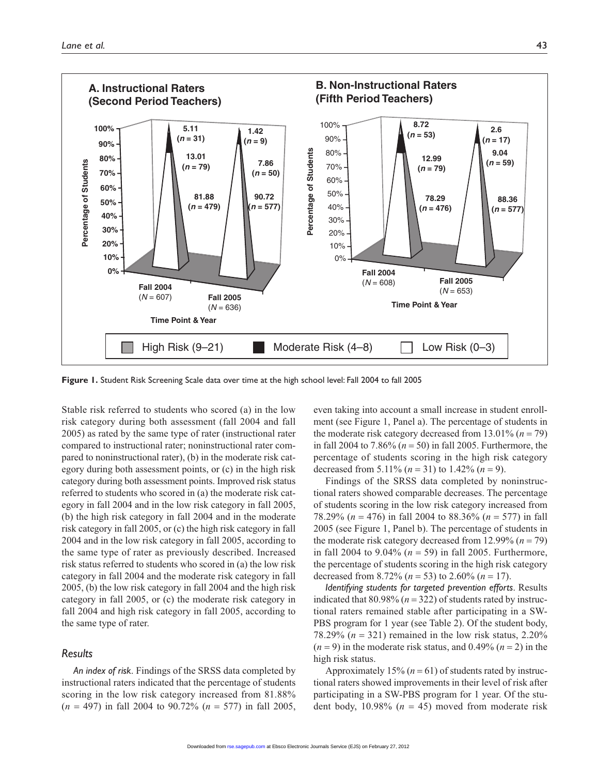

**Figure 1.** Student Risk Screening Scale data over time at the high school level: Fall 2004 to fall 2005

Stable risk referred to students who scored (a) in the low risk category during both assessment (fall 2004 and fall 2005) as rated by the same type of rater (instructional rater compared to instructional rater; noninstructional rater compared to noninstructional rater), (b) in the moderate risk category during both assessment points, or (c) in the high risk category during both assessment points. Improved risk status referred to students who scored in (a) the moderate risk category in fall 2004 and in the low risk category in fall 2005, (b) the high risk category in fall 2004 and in the moderate risk category in fall 2005, or (c) the high risk category in fall 2004 and in the low risk category in fall 2005, according to the same type of rater as previously described. Increased risk status referred to students who scored in (a) the low risk category in fall 2004 and the moderate risk category in fall 2005, (b) the low risk category in fall 2004 and the high risk category in fall 2005, or (c) the moderate risk category in fall 2004 and high risk category in fall 2005, according to the same type of rater.

#### *Results*

*An index of risk*. Findings of the SRSS data completed by instructional raters indicated that the percentage of students scoring in the low risk category increased from 81.88% (*n* = 497) in fall 2004 to 90.72% (*n* = 577) in fall 2005, even taking into account a small increase in student enrollment (see Figure 1, Panel a). The percentage of students in the moderate risk category decreased from 13.01% (*n* = 79) in fall 2004 to 7.86% (*n* = 50) in fall 2005. Furthermore, the percentage of students scoring in the high risk category decreased from 5.11%  $(n = 31)$  to 1.42%  $(n = 9)$ .

Findings of the SRSS data completed by noninstructional raters showed comparable decreases. The percentage of students scoring in the low risk category increased from 78.29% (*n* = 476) in fall 2004 to 88.36% (*n* = 577) in fall 2005 (see Figure 1, Panel b). The percentage of students in the moderate risk category decreased from 12.99% (*n* = 79) in fall 2004 to 9.04% (*n* = 59) in fall 2005. Furthermore, the percentage of students scoring in the high risk category decreased from 8.72% ( $n = 53$ ) to 2.60% ( $n = 17$ ).

*Identifying students for targeted prevention efforts*. Results indicated that  $80.98\%$  ( $n = 322$ ) of students rated by instructional raters remained stable after participating in a SW-PBS program for 1 year (see Table 2). Of the student body, 78.29% ( $n = 321$ ) remained in the low risk status, 2.20%  $(n = 9)$  in the moderate risk status, and 0.49%  $(n = 2)$  in the high risk status.

Approximately  $15\%$  ( $n = 61$ ) of students rated by instructional raters showed improvements in their level of risk after participating in a SW-PBS program for 1 year. Of the student body,  $10.98\%$  ( $n = 45$ ) moved from moderate risk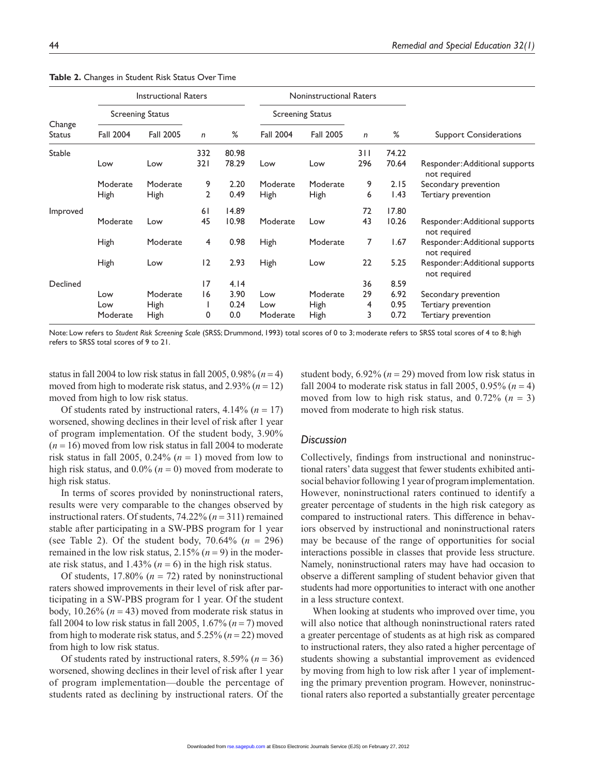| Change<br><b>Status</b> | <b>Instructional Raters</b> |                  |                |       | <b>Noninstructional Raters</b> |                  |              |       |                                                |  |
|-------------------------|-----------------------------|------------------|----------------|-------|--------------------------------|------------------|--------------|-------|------------------------------------------------|--|
|                         | <b>Screening Status</b>     |                  |                |       | <b>Screening Status</b>        |                  |              |       |                                                |  |
|                         | <b>Fall 2004</b>            | <b>Fall 2005</b> | $\mathsf{n}$   | %     | <b>Fall 2004</b>               | <b>Fall 2005</b> | $\mathsf{n}$ | %     | <b>Support Considerations</b>                  |  |
| <b>Stable</b>           |                             |                  | 332            | 80.98 |                                |                  | 3 I I        | 74.22 |                                                |  |
|                         | Low                         | Low              | 321            | 78.29 | Low                            | Low              | 296          | 70.64 | Responder: Additional supports<br>not required |  |
|                         | Moderate                    | Moderate         | 9              | 2.20  | Moderate                       | Moderate         | 9            | 2.15  | Secondary prevention                           |  |
|                         | <b>High</b>                 | High             | $\overline{2}$ | 0.49  | High                           | High             | 6            | 1.43  | Tertiary prevention                            |  |
| Improved                |                             |                  | 61             | 14.89 |                                |                  | 72           | 17.80 |                                                |  |
|                         | Moderate                    | Low              | 45             | 10.98 | Moderate                       | Low              | 43           | 10.26 | Responder: Additional supports<br>not required |  |
|                         | High                        | Moderate         | 4              | 0.98  | <b>High</b>                    | Moderate         | 7            | 1.67  | Responder: Additional supports<br>not required |  |
|                         | High                        | Low              | 12             | 2.93  | High                           | Low              | 22           | 5.25  | Responder: Additional supports<br>not required |  |
| Declined                |                             |                  | 17             | 4.14  |                                |                  | 36           | 8.59  |                                                |  |
|                         | Low                         | Moderate         | 16             | 3.90  | Low                            | Moderate         | 29           | 6.92  | Secondary prevention                           |  |
|                         | Low                         | High             |                | 0.24  | Low                            | High             | 4            | 0.95  | Tertiary prevention                            |  |
|                         | Moderate                    | High             | 0              | 0.0   | Moderate                       | High             | 3            | 0.72  | Tertiary prevention                            |  |

**Table 2.** Changes in Student Risk Status Over Time

Note: Low refers to *Student Risk Screening Scale* (SRSS; Drummond, 1993) total scores of 0 to 3; moderate refers to SRSS total scores of 4 to 8; high refers to SRSS total scores of 9 to 21.

status in fall 2004 to low risk status in fall 2005, 0.98% (*n* = 4) moved from high to moderate risk status, and 2.93% (*n* = 12) moved from high to low risk status.

Of students rated by instructional raters,  $4.14\%$  ( $n = 17$ ) worsened, showing declines in their level of risk after 1 year of program implementation. Of the student body, 3.90% (*n* = 16) moved from low risk status in fall 2004 to moderate risk status in fall 2005,  $0.24\%$  ( $n = 1$ ) moved from low to high risk status, and  $0.0\%$  ( $n = 0$ ) moved from moderate to high risk status.

In terms of scores provided by noninstructional raters, results were very comparable to the changes observed by instructional raters. Of students, 74.22% (*n* = 311) remained stable after participating in a SW-PBS program for 1 year (see Table 2). Of the student body, 70.64% (*n* = 296) remained in the low risk status,  $2.15\%$  ( $n = 9$ ) in the moderate risk status, and  $1.43\%$  ( $n = 6$ ) in the high risk status.

Of students,  $17.80\%$  ( $n = 72$ ) rated by noninstructional raters showed improvements in their level of risk after participating in a SW-PBS program for 1 year. Of the student body,  $10.26\%$  ( $n = 43$ ) moved from moderate risk status in fall 2004 to low risk status in fall 2005, 1.67% (*n* = 7) moved from high to moderate risk status, and 5.25% (*n* = 22) moved from high to low risk status.

Of students rated by instructional raters, 8.59% (*n* = 36) worsened, showing declines in their level of risk after 1 year of program implementation—double the percentage of students rated as declining by instructional raters. Of the student body,  $6.92\%$  ( $n = 29$ ) moved from low risk status in fall 2004 to moderate risk status in fall 2005,  $0.95\%$  ( $n = 4$ ) moved from low to high risk status, and  $0.72\%$  ( $n = 3$ ) moved from moderate to high risk status.

#### *Discussion*

Collectively, findings from instructional and noninstructional raters' data suggest that fewer students exhibited antisocial behavior following 1 year of program implementation. However, noninstructional raters continued to identify a greater percentage of students in the high risk category as compared to instructional raters. This difference in behaviors observed by instructional and noninstructional raters may be because of the range of opportunities for social interactions possible in classes that provide less structure. Namely, noninstructional raters may have had occasion to observe a different sampling of student behavior given that students had more opportunities to interact with one another in a less structure context.

When looking at students who improved over time, you will also notice that although noninstructional raters rated a greater percentage of students as at high risk as compared to instructional raters, they also rated a higher percentage of students showing a substantial improvement as evidenced by moving from high to low risk after 1 year of implementing the primary prevention program. However, noninstructional raters also reported a substantially greater percentage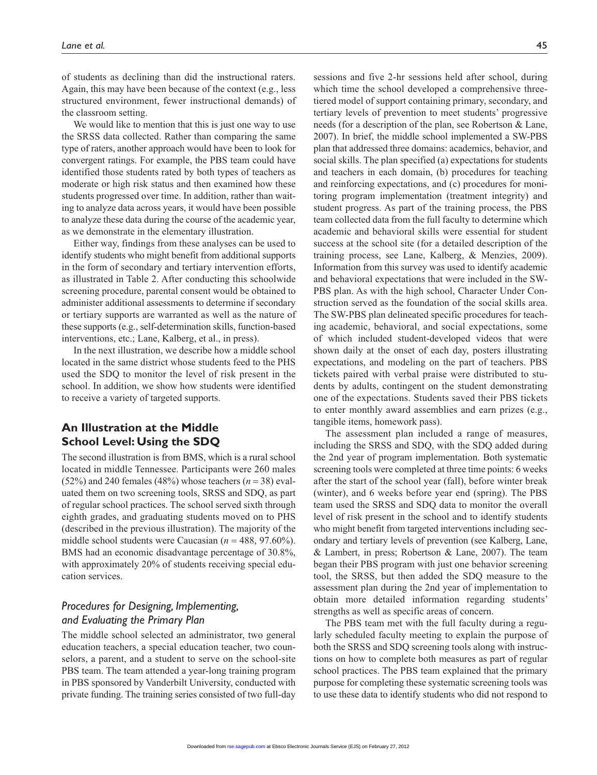of students as declining than did the instructional raters. Again, this may have been because of the context (e.g., less structured environment, fewer instructional demands) of the classroom setting.

We would like to mention that this is just one way to use the SRSS data collected. Rather than comparing the same type of raters, another approach would have been to look for convergent ratings. For example, the PBS team could have identified those students rated by both types of teachers as moderate or high risk status and then examined how these students progressed over time. In addition, rather than waiting to analyze data across years, it would have been possible to analyze these data during the course of the academic year, as we demonstrate in the elementary illustration.

Either way, findings from these analyses can be used to identify students who might benefit from additional supports in the form of secondary and tertiary intervention efforts, as illustrated in Table 2. After conducting this schoolwide screening procedure, parental consent would be obtained to administer additional assessments to determine if secondary or tertiary supports are warranted as well as the nature of these supports (e.g., self-determination skills, function-based interventions, etc.; Lane, Kalberg, et al., in press).

In the next illustration, we describe how a middle school located in the same district whose students feed to the PHS used the SDQ to monitor the level of risk present in the school. In addition, we show how students were identified to receive a variety of targeted supports.

# **An Illustration at the Middle School Level: Using the SDQ**

The second illustration is from BMS, which is a rural school located in middle Tennessee. Participants were 260 males (52%) and 240 females (48%) whose teachers  $(n = 38)$  evaluated them on two screening tools, SRSS and SDQ, as part of regular school practices. The school served sixth through eighth grades, and graduating students moved on to PHS (described in the previous illustration). The majority of the middle school students were Caucasian (*n* = 488, 97.60%). BMS had an economic disadvantage percentage of 30.8%, with approximately 20% of students receiving special education services.

# *Procedures for Designing, Implementing, and Evaluating the Primary Plan*

The middle school selected an administrator, two general education teachers, a special education teacher, two counselors, a parent, and a student to serve on the school-site PBS team. The team attended a year-long training program in PBS sponsored by Vanderbilt University, conducted with private funding. The training series consisted of two full-day

sessions and five 2-hr sessions held after school, during which time the school developed a comprehensive threetiered model of support containing primary, secondary, and tertiary levels of prevention to meet students' progressive needs (for a description of the plan, see Robertson & Lane, 2007). In brief, the middle school implemented a SW-PBS plan that addressed three domains: academics, behavior, and social skills. The plan specified (a) expectations for students and teachers in each domain, (b) procedures for teaching and reinforcing expectations, and (c) procedures for monitoring program implementation (treatment integrity) and student progress. As part of the training process, the PBS team collected data from the full faculty to determine which academic and behavioral skills were essential for student success at the school site (for a detailed description of the training process, see Lane, Kalberg, & Menzies, 2009). Information from this survey was used to identify academic and behavioral expectations that were included in the SW-PBS plan. As with the high school, Character Under Construction served as the foundation of the social skills area. The SW-PBS plan delineated specific procedures for teaching academic, behavioral, and social expectations, some of which included student-developed videos that were shown daily at the onset of each day, posters illustrating expectations, and modeling on the part of teachers. PBS tickets paired with verbal praise were distributed to students by adults, contingent on the student demonstrating one of the expectations. Students saved their PBS tickets to enter monthly award assemblies and earn prizes (e.g., tangible items, homework pass).

The assessment plan included a range of measures, including the SRSS and SDQ, with the SDQ added during the 2nd year of program implementation. Both systematic screening tools were completed at three time points: 6 weeks after the start of the school year (fall), before winter break (winter), and 6 weeks before year end (spring). The PBS team used the SRSS and SDQ data to monitor the overall level of risk present in the school and to identify students who might benefit from targeted interventions including secondary and tertiary levels of prevention (see Kalberg, Lane, & Lambert, in press; Robertson & Lane, 2007). The team began their PBS program with just one behavior screening tool, the SRSS, but then added the SDQ measure to the assessment plan during the 2nd year of implementation to obtain more detailed information regarding students' strengths as well as specific areas of concern.

The PBS team met with the full faculty during a regularly scheduled faculty meeting to explain the purpose of both the SRSS and SDQ screening tools along with instructions on how to complete both measures as part of regular school practices. The PBS team explained that the primary purpose for completing these systematic screening tools was to use these data to identify students who did not respond to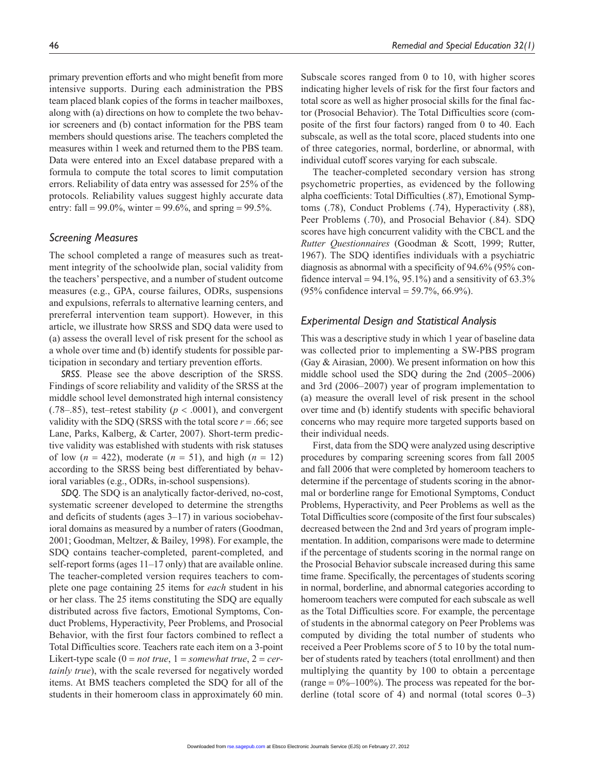primary prevention efforts and who might benefit from more intensive supports. During each administration the PBS team placed blank copies of the forms in teacher mailboxes, along with (a) directions on how to complete the two behavior screeners and (b) contact information for the PBS team members should questions arise. The teachers completed the measures within 1 week and returned them to the PBS team. Data were entered into an Excel database prepared with a formula to compute the total scores to limit computation errors. Reliability of data entry was assessed for 25% of the protocols. Reliability values suggest highly accurate data entry: fall = 99.0%, winter = 99.6%, and spring = 99.5%.

#### *Screening Measures*

The school completed a range of measures such as treatment integrity of the schoolwide plan, social validity from the teachers' perspective, and a number of student outcome measures (e.g., GPA, course failures, ODRs, suspensions and expulsions, referrals to alternative learning centers, and prereferral intervention team support). However, in this article, we illustrate how SRSS and SDQ data were used to (a) assess the overall level of risk present for the school as a whole over time and (b) identify students for possible participation in secondary and tertiary prevention efforts.

*SRSS*. Please see the above description of the SRSS. Findings of score reliability and validity of the SRSS at the middle school level demonstrated high internal consistency  $(.78-.85)$ , test–retest stability ( $p < .0001$ ), and convergent validity with the SDQ (SRSS with the total score  $r = .66$ ; see Lane, Parks, Kalberg, & Carter, 2007). Short-term predictive validity was established with students with risk statuses of low  $(n = 422)$ , moderate  $(n = 51)$ , and high  $(n = 12)$ according to the SRSS being best differentiated by behavioral variables (e.g., ODRs, in-school suspensions).

*SDQ*. The SDQ is an analytically factor-derived, no-cost, systematic screener developed to determine the strengths and deficits of students (ages 3–17) in various sociobehavioral domains as measured by a number of raters (Goodman, 2001; Goodman, Meltzer, & Bailey, 1998). For example, the SDQ contains teacher-completed, parent-completed, and self-report forms (ages 11–17 only) that are available online. The teacher-completed version requires teachers to complete one page containing 25 items for *each* student in his or her class. The 25 items constituting the SDQ are equally distributed across five factors, Emotional Symptoms, Conduct Problems, Hyperactivity, Peer Problems, and Prosocial Behavior, with the first four factors combined to reflect a Total Difficulties score. Teachers rate each item on a 3-point Likert-type scale  $(0 = not true, 1 = somewhat true, 2 = cer$ *tainly true*), with the scale reversed for negatively worded items. At BMS teachers completed the SDQ for all of the students in their homeroom class in approximately 60 min.

Subscale scores ranged from 0 to 10, with higher scores indicating higher levels of risk for the first four factors and total score as well as higher prosocial skills for the final factor (Prosocial Behavior). The Total Difficulties score (composite of the first four factors) ranged from 0 to 40. Each subscale, as well as the total score, placed students into one of three categories, normal, borderline, or abnormal, with individual cutoff scores varying for each subscale.

The teacher-completed secondary version has strong psychometric properties, as evidenced by the following alpha coefficients: Total Difficulties (.87), Emotional Symptoms (.78), Conduct Problems (.74), Hyperactivity (.88), Peer Problems (.70), and Prosocial Behavior (.84). SDQ scores have high concurrent validity with the CBCL and the *Rutter Questionnaires* (Goodman & Scott, 1999; Rutter, 1967). The SDQ identifies individuals with a psychiatric diagnosis as abnormal with a specificity of 94.6% (95% confidence interval =  $94.1\%$ ,  $95.1\%$ ) and a sensitivity of 63.3% (95% confidence interval = 59.7%, 66.9%).

#### *Experimental Design and Statistical Analysis*

This was a descriptive study in which 1 year of baseline data was collected prior to implementing a SW-PBS program (Gay & Airasian, 2000). We present information on how this middle school used the SDQ during the 2nd (2005–2006) and 3rd (2006–2007) year of program implementation to (a) measure the overall level of risk present in the school over time and (b) identify students with specific behavioral concerns who may require more targeted supports based on their individual needs.

First, data from the SDQ were analyzed using descriptive procedures by comparing screening scores from fall 2005 and fall 2006 that were completed by homeroom teachers to determine if the percentage of students scoring in the abnormal or borderline range for Emotional Symptoms, Conduct Problems, Hyperactivity, and Peer Problems as well as the Total Difficulties score (composite of the first four subscales) decreased between the 2nd and 3rd years of program implementation. In addition, comparisons were made to determine if the percentage of students scoring in the normal range on the Prosocial Behavior subscale increased during this same time frame. Specifically, the percentages of students scoring in normal, borderline, and abnormal categories according to homeroom teachers were computed for each subscale as well as the Total Difficulties score. For example, the percentage of students in the abnormal category on Peer Problems was computed by dividing the total number of students who received a Peer Problems score of 5 to 10 by the total number of students rated by teachers (total enrollment) and then multiplying the quantity by 100 to obtain a percentage (range  $= 0\% - 100\%$ ). The process was repeated for the borderline (total score of 4) and normal (total scores  $0-3$ )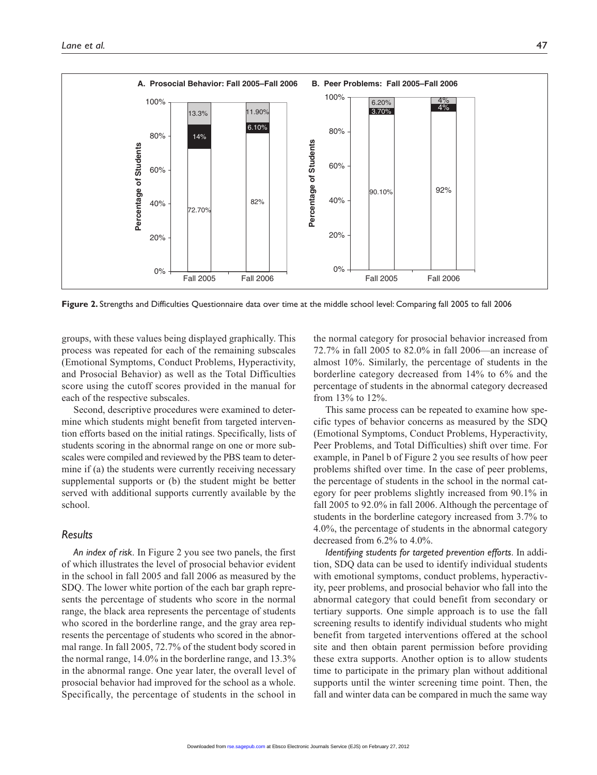

**Figure 2.** Strengths and Difficulties Questionnaire data over time at the middle school level: Comparing fall 2005 to fall 2006

groups, with these values being displayed graphically. This process was repeated for each of the remaining subscales (Emotional Symptoms, Conduct Problems, Hyperactivity, and Prosocial Behavior) as well as the Total Difficulties score using the cutoff scores provided in the manual for each of the respective subscales.

Second, descriptive procedures were examined to determine which students might benefit from targeted intervention efforts based on the initial ratings. Specifically, lists of students scoring in the abnormal range on one or more subscales were compiled and reviewed by the PBS team to determine if (a) the students were currently receiving necessary supplemental supports or (b) the student might be better served with additional supports currently available by the school.

#### *Results*

*An index of risk*. In Figure 2 you see two panels, the first of which illustrates the level of prosocial behavior evident in the school in fall 2005 and fall 2006 as measured by the SDQ. The lower white portion of the each bar graph represents the percentage of students who score in the normal range, the black area represents the percentage of students who scored in the borderline range, and the gray area represents the percentage of students who scored in the abnormal range. In fall 2005, 72.7% of the student body scored in the normal range, 14.0% in the borderline range, and 13.3% in the abnormal range. One year later, the overall level of prosocial behavior had improved for the school as a whole. Specifically, the percentage of students in the school in

the normal category for prosocial behavior increased from 72.7% in fall 2005 to 82.0% in fall 2006—an increase of almost 10%. Similarly, the percentage of students in the borderline category decreased from 14% to 6% and the percentage of students in the abnormal category decreased from 13% to 12%.

This same process can be repeated to examine how specific types of behavior concerns as measured by the SDQ (Emotional Symptoms, Conduct Problems, Hyperactivity, Peer Problems, and Total Difficulties) shift over time. For example, in Panel b of Figure 2 you see results of how peer problems shifted over time. In the case of peer problems, the percentage of students in the school in the normal category for peer problems slightly increased from 90.1% in fall 2005 to 92.0% in fall 2006. Although the percentage of students in the borderline category increased from 3.7% to 4.0%, the percentage of students in the abnormal category decreased from 6.2% to 4.0%.

*Identifying students for targeted prevention efforts*. In addition, SDQ data can be used to identify individual students with emotional symptoms, conduct problems, hyperactivity, peer problems, and prosocial behavior who fall into the abnormal category that could benefit from secondary or tertiary supports. One simple approach is to use the fall screening results to identify individual students who might benefit from targeted interventions offered at the school site and then obtain parent permission before providing these extra supports. Another option is to allow students time to participate in the primary plan without additional supports until the winter screening time point. Then, the fall and winter data can be compared in much the same way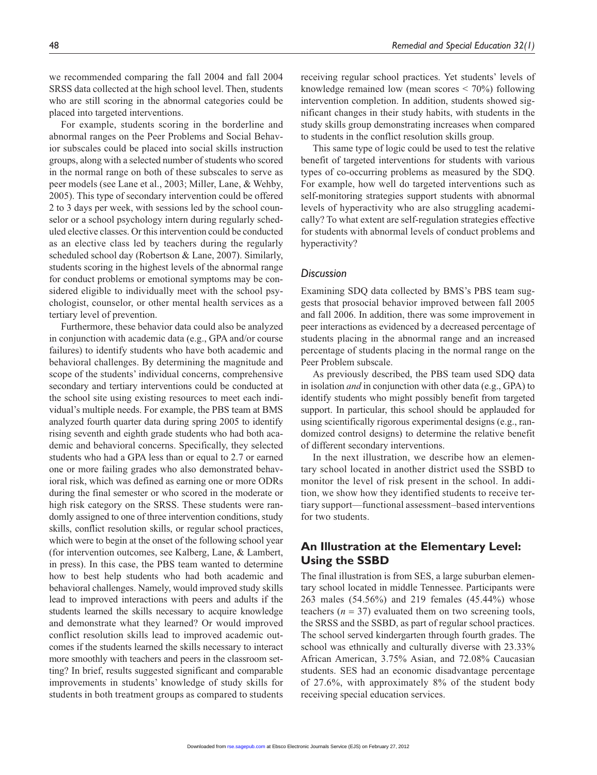we recommended comparing the fall 2004 and fall 2004 SRSS data collected at the high school level. Then, students who are still scoring in the abnormal categories could be placed into targeted interventions.

For example, students scoring in the borderline and abnormal ranges on the Peer Problems and Social Behavior subscales could be placed into social skills instruction groups, along with a selected number of students who scored in the normal range on both of these subscales to serve as peer models (see Lane et al., 2003; Miller, Lane, & Wehby, 2005). This type of secondary intervention could be offered 2 to 3 days per week, with sessions led by the school counselor or a school psychology intern during regularly scheduled elective classes. Or this intervention could be conducted as an elective class led by teachers during the regularly scheduled school day (Robertson & Lane, 2007). Similarly, students scoring in the highest levels of the abnormal range for conduct problems or emotional symptoms may be considered eligible to individually meet with the school psychologist, counselor, or other mental health services as a tertiary level of prevention.

Furthermore, these behavior data could also be analyzed in conjunction with academic data (e.g., GPA and/or course failures) to identify students who have both academic and behavioral challenges. By determining the magnitude and scope of the students' individual concerns, comprehensive secondary and tertiary interventions could be conducted at the school site using existing resources to meet each individual's multiple needs. For example, the PBS team at BMS analyzed fourth quarter data during spring 2005 to identify rising seventh and eighth grade students who had both academic and behavioral concerns. Specifically, they selected students who had a GPA less than or equal to 2.7 or earned one or more failing grades who also demonstrated behavioral risk, which was defined as earning one or more ODRs during the final semester or who scored in the moderate or high risk category on the SRSS. These students were randomly assigned to one of three intervention conditions, study skills, conflict resolution skills, or regular school practices, which were to begin at the onset of the following school year (for intervention outcomes, see Kalberg, Lane, & Lambert, in press). In this case, the PBS team wanted to determine how to best help students who had both academic and behavioral challenges. Namely, would improved study skills lead to improved interactions with peers and adults if the students learned the skills necessary to acquire knowledge and demonstrate what they learned? Or would improved conflict resolution skills lead to improved academic outcomes if the students learned the skills necessary to interact more smoothly with teachers and peers in the classroom setting? In brief, results suggested significant and comparable improvements in students' knowledge of study skills for students in both treatment groups as compared to students receiving regular school practices. Yet students' levels of knowledge remained low (mean scores < 70%) following intervention completion. In addition, students showed significant changes in their study habits, with students in the study skills group demonstrating increases when compared to students in the conflict resolution skills group.

This same type of logic could be used to test the relative benefit of targeted interventions for students with various types of co-occurring problems as measured by the SDQ. For example, how well do targeted interventions such as self-monitoring strategies support students with abnormal levels of hyperactivity who are also struggling academically? To what extent are self-regulation strategies effective for students with abnormal levels of conduct problems and hyperactivity?

#### *Discussion*

Examining SDQ data collected by BMS's PBS team suggests that prosocial behavior improved between fall 2005 and fall 2006. In addition, there was some improvement in peer interactions as evidenced by a decreased percentage of students placing in the abnormal range and an increased percentage of students placing in the normal range on the Peer Problem subscale.

As previously described, the PBS team used SDQ data in isolation *and* in conjunction with other data (e.g., GPA) to identify students who might possibly benefit from targeted support. In particular, this school should be applauded for using scientifically rigorous experimental designs (e.g., randomized control designs) to determine the relative benefit of different secondary interventions.

In the next illustration, we describe how an elementary school located in another district used the SSBD to monitor the level of risk present in the school. In addition, we show how they identified students to receive tertiary support—functional assessment–based interventions for two students.

# **An Illustration at the Elementary Level: Using the SSBD**

The final illustration is from SES, a large suburban elementary school located in middle Tennessee. Participants were 263 males (54.56%) and 219 females (45.44%) whose teachers  $(n = 37)$  evaluated them on two screening tools, the SRSS and the SSBD, as part of regular school practices. The school served kindergarten through fourth grades. The school was ethnically and culturally diverse with 23.33% African American, 3.75% Asian, and 72.08% Caucasian students. SES had an economic disadvantage percentage of 27.6%, with approximately 8% of the student body receiving special education services.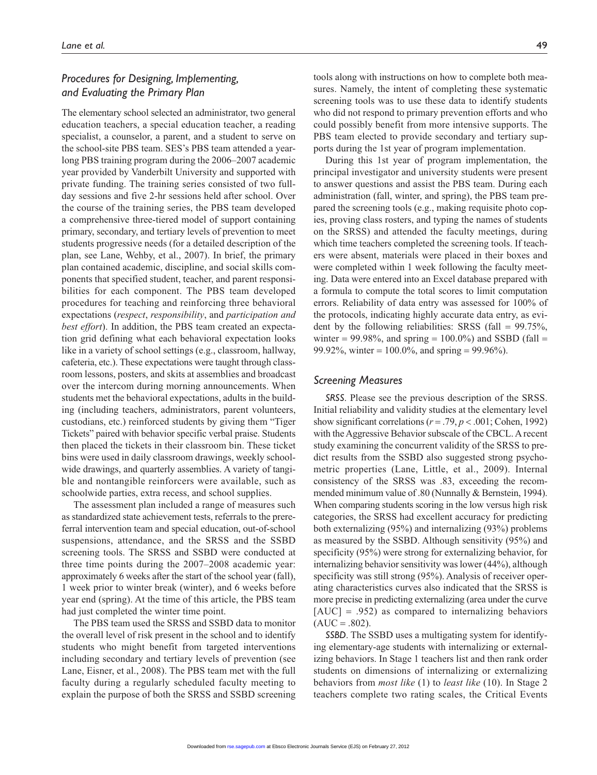# *Procedures for Designing, Implementing, and Evaluating the Primary Plan*

The elementary school selected an administrator, two general education teachers, a special education teacher, a reading specialist, a counselor, a parent, and a student to serve on the school-site PBS team. SES's PBS team attended a yearlong PBS training program during the 2006–2007 academic year provided by Vanderbilt University and supported with private funding. The training series consisted of two fullday sessions and five 2-hr sessions held after school. Over the course of the training series, the PBS team developed a comprehensive three-tiered model of support containing primary, secondary, and tertiary levels of prevention to meet students progressive needs (for a detailed description of the plan, see Lane, Wehby, et al., 2007). In brief, the primary plan contained academic, discipline, and social skills components that specified student, teacher, and parent responsibilities for each component. The PBS team developed procedures for teaching and reinforcing three behavioral expectations (*respect*, *responsibility*, and *participation and best effort*). In addition, the PBS team created an expectation grid defining what each behavioral expectation looks like in a variety of school settings (e.g., classroom, hallway, cafeteria, etc.). These expectations were taught through classroom lessons, posters, and skits at assemblies and broadcast over the intercom during morning announcements. When students met the behavioral expectations, adults in the building (including teachers, administrators, parent volunteers, custodians, etc.) reinforced students by giving them "Tiger Tickets" paired with behavior specific verbal praise. Students then placed the tickets in their classroom bin. These ticket bins were used in daily classroom drawings, weekly schoolwide drawings, and quarterly assemblies. A variety of tangible and nontangible reinforcers were available, such as schoolwide parties, extra recess, and school supplies.

The assessment plan included a range of measures such as standardized state achievement tests, referrals to the prereferral intervention team and special education, out-of-school suspensions, attendance, and the SRSS and the SSBD screening tools. The SRSS and SSBD were conducted at three time points during the 2007–2008 academic year: approximately 6 weeks after the start of the school year (fall), 1 week prior to winter break (winter), and 6 weeks before year end (spring). At the time of this article, the PBS team had just completed the winter time point.

The PBS team used the SRSS and SSBD data to monitor the overall level of risk present in the school and to identify students who might benefit from targeted interventions including secondary and tertiary levels of prevention (see Lane, Eisner, et al., 2008). The PBS team met with the full faculty during a regularly scheduled faculty meeting to explain the purpose of both the SRSS and SSBD screening

tools along with instructions on how to complete both measures. Namely, the intent of completing these systematic screening tools was to use these data to identify students who did not respond to primary prevention efforts and who could possibly benefit from more intensive supports. The PBS team elected to provide secondary and tertiary supports during the 1st year of program implementation.

During this 1st year of program implementation, the principal investigator and university students were present to answer questions and assist the PBS team. During each administration (fall, winter, and spring), the PBS team prepared the screening tools (e.g., making requisite photo copies, proving class rosters, and typing the names of students on the SRSS) and attended the faculty meetings, during which time teachers completed the screening tools. If teachers were absent, materials were placed in their boxes and were completed within 1 week following the faculty meeting. Data were entered into an Excel database prepared with a formula to compute the total scores to limit computation errors. Reliability of data entry was assessed for 100% of the protocols, indicating highly accurate data entry, as evident by the following reliabilities: SRSS (fall  $= 99.75\%$ , winter =  $99.98\%$ , and spring =  $100.0\%$ ) and SSBD (fall = 99.92%, winter =  $100.0\%$ , and spring =  $99.96\%$ ).

#### *Screening Measures*

*SRSS*. Please see the previous description of the SRSS. Initial reliability and validity studies at the elementary level show significant correlations (*r* = .79, *p* < .001; Cohen, 1992) with the Aggressive Behavior subscale of the CBCL. A recent study examining the concurrent validity of the SRSS to predict results from the SSBD also suggested strong psychometric properties (Lane, Little, et al., 2009). Internal consistency of the SRSS was .83, exceeding the recommended minimum value of .80 (Nunnally & Bernstein, 1994). When comparing students scoring in the low versus high risk categories, the SRSS had excellent accuracy for predicting both externalizing (95%) and internalizing (93%) problems as measured by the SSBD. Although sensitivity (95%) and specificity (95%) were strong for externalizing behavior, for internalizing behavior sensitivity was lower (44%), although specificity was still strong (95%). Analysis of receiver operating characteristics curves also indicated that the SRSS is more precise in predicting externalizing (area under the curve  $[AUC] = .952$ ) as compared to internalizing behaviors  $(AUC = .802)$ .

*SSBD*. The SSBD uses a multigating system for identifying elementary-age students with internalizing or externalizing behaviors. In Stage 1 teachers list and then rank order students on dimensions of internalizing or externalizing behaviors from *most like* (1) to *least like* (10). In Stage 2 teachers complete two rating scales, the Critical Events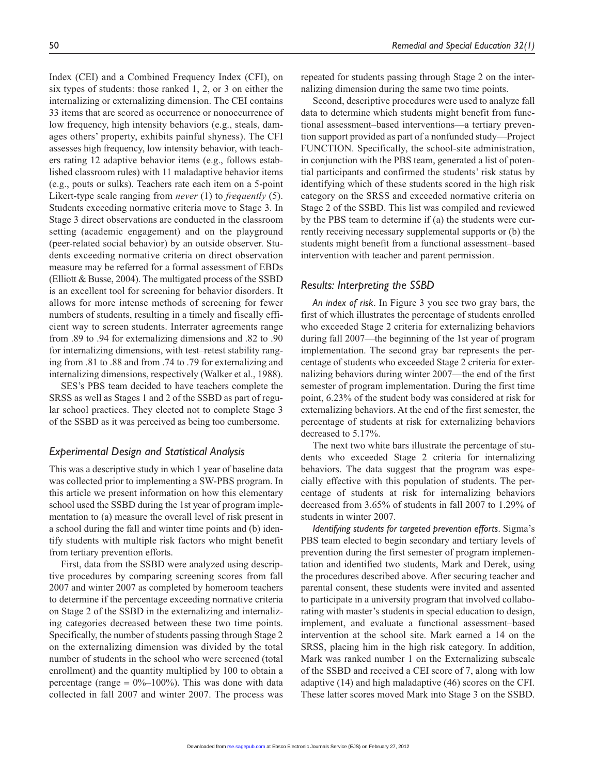Index (CEI) and a Combined Frequency Index (CFI), on six types of students: those ranked 1, 2, or 3 on either the internalizing or externalizing dimension. The CEI contains 33 items that are scored as occurrence or nonoccurrence of low frequency, high intensity behaviors (e.g., steals, damages others' property, exhibits painful shyness). The CFI assesses high frequency, low intensity behavior, with teachers rating 12 adaptive behavior items (e.g., follows established classroom rules) with 11 maladaptive behavior items (e.g., pouts or sulks). Teachers rate each item on a 5-point Likert-type scale ranging from *never* (1) to *frequently* (5). Students exceeding normative criteria move to Stage 3. In Stage 3 direct observations are conducted in the classroom setting (academic engagement) and on the playground (peer-related social behavior) by an outside observer. Students exceeding normative criteria on direct observation measure may be referred for a formal assessment of EBDs (Elliott & Busse, 2004). The multigated process of the SSBD is an excellent tool for screening for behavior disorders. It allows for more intense methods of screening for fewer numbers of students, resulting in a timely and fiscally efficient way to screen students. Interrater agreements range from .89 to .94 for externalizing dimensions and .82 to .90 for internalizing dimensions, with test–retest stability ranging from .81 to .88 and from .74 to .79 for externalizing and internalizing dimensions, respectively (Walker et al., 1988).

SES's PBS team decided to have teachers complete the SRSS as well as Stages 1 and 2 of the SSBD as part of regular school practices. They elected not to complete Stage 3 of the SSBD as it was perceived as being too cumbersome.

#### *Experimental Design and Statistical Analysis*

This was a descriptive study in which 1 year of baseline data was collected prior to implementing a SW-PBS program. In this article we present information on how this elementary school used the SSBD during the 1st year of program implementation to (a) measure the overall level of risk present in a school during the fall and winter time points and (b) identify students with multiple risk factors who might benefit from tertiary prevention efforts.

First, data from the SSBD were analyzed using descriptive procedures by comparing screening scores from fall 2007 and winter 2007 as completed by homeroom teachers to determine if the percentage exceeding normative criteria on Stage 2 of the SSBD in the externalizing and internalizing categories decreased between these two time points. Specifically, the number of students passing through Stage 2 on the externalizing dimension was divided by the total number of students in the school who were screened (total enrollment) and the quantity multiplied by 100 to obtain a percentage (range =  $0\%$ -100%). This was done with data collected in fall 2007 and winter 2007. The process was repeated for students passing through Stage 2 on the internalizing dimension during the same two time points.

Second, descriptive procedures were used to analyze fall data to determine which students might benefit from functional assessment–based interventions—a tertiary prevention support provided as part of a nonfunded study—Project FUNCTION. Specifically, the school-site administration, in conjunction with the PBS team, generated a list of potential participants and confirmed the students' risk status by identifying which of these students scored in the high risk category on the SRSS and exceeded normative criteria on Stage 2 of the SSBD. This list was compiled and reviewed by the PBS team to determine if (a) the students were currently receiving necessary supplemental supports or (b) the students might benefit from a functional assessment–based intervention with teacher and parent permission.

#### *Results: Interpreting the SSBD*

*An index of risk*. In Figure 3 you see two gray bars, the first of which illustrates the percentage of students enrolled who exceeded Stage 2 criteria for externalizing behaviors during fall 2007—the beginning of the 1st year of program implementation. The second gray bar represents the percentage of students who exceeded Stage 2 criteria for externalizing behaviors during winter 2007—the end of the first semester of program implementation. During the first time point, 6.23% of the student body was considered at risk for externalizing behaviors. At the end of the first semester, the percentage of students at risk for externalizing behaviors decreased to 5.17%.

The next two white bars illustrate the percentage of students who exceeded Stage 2 criteria for internalizing behaviors. The data suggest that the program was especially effective with this population of students. The percentage of students at risk for internalizing behaviors decreased from 3.65% of students in fall 2007 to 1.29% of students in winter 2007.

*Identifying students for targeted prevention efforts*. Sigma's PBS team elected to begin secondary and tertiary levels of prevention during the first semester of program implementation and identified two students, Mark and Derek, using the procedures described above. After securing teacher and parental consent, these students were invited and assented to participate in a university program that involved collaborating with master's students in special education to design, implement, and evaluate a functional assessment–based intervention at the school site. Mark earned a 14 on the SRSS, placing him in the high risk category. In addition, Mark was ranked number 1 on the Externalizing subscale of the SSBD and received a CEI score of 7, along with low adaptive (14) and high maladaptive (46) scores on the CFI. These latter scores moved Mark into Stage 3 on the SSBD.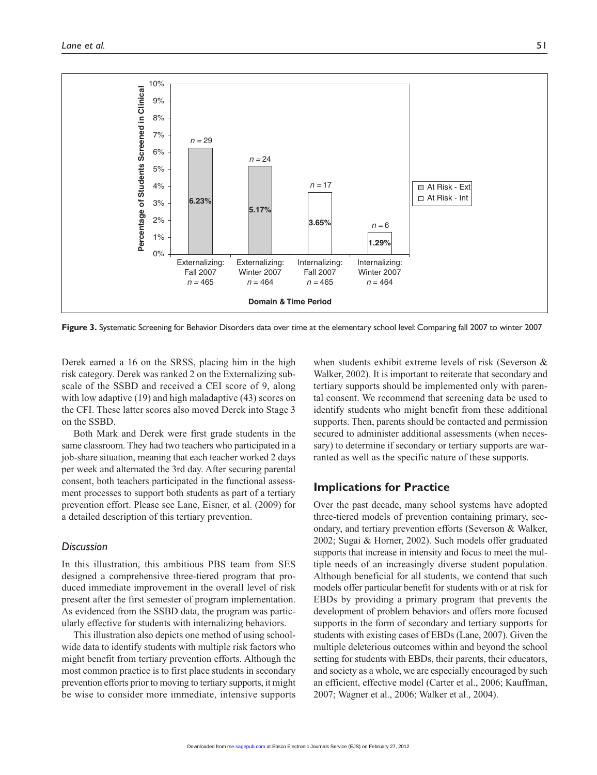

**Figure 3.** Systematic Screening for Behavior Disorders data over time at the elementary school level: Comparing fall 2007 to winter 2007

Derek earned a 16 on the SRSS, placing him in the high risk category. Derek was ranked 2 on the Externalizing subscale of the SSBD and received a CEI score of 9, along with low adaptive (19) and high maladaptive (43) scores on the CFI. These latter scores also moved Derek into Stage 3 on the SSBD.

Both Mark and Derek were first grade students in the same classroom. They had two teachers who participated in a job-share situation, meaning that each teacher worked 2 days per week and alternated the 3rd day. After securing parental consent, both teachers participated in the functional assessment processes to support both students as part of a tertiary prevention effort. Please see Lane, Eisner, et al. (2009) for a detailed description of this tertiary prevention.

#### *Discussion*

In this illustration, this ambitious PBS team from SES designed a comprehensive three-tiered program that produced immediate improvement in the overall level of risk present after the first semester of program implementation. As evidenced from the SSBD data, the program was particularly effective for students with internalizing behaviors.

This illustration also depicts one method of using schoolwide data to identify students with multiple risk factors who might benefit from tertiary prevention efforts. Although the most common practice is to first place students in secondary prevention efforts prior to moving to tertiary supports, it might be wise to consider more immediate, intensive supports

when students exhibit extreme levels of risk (Severson & Walker, 2002). It is important to reiterate that secondary and tertiary supports should be implemented only with parental consent. We recommend that screening data be used to identify students who might benefit from these additional supports. Then, parents should be contacted and permission secured to administer additional assessments (when necessary) to determine if secondary or tertiary supports are warranted as well as the specific nature of these supports.

## **Implications for Practice**

Over the past decade, many school systems have adopted three-tiered models of prevention containing primary, secondary, and tertiary prevention efforts (Severson & Walker, 2002; Sugai & Horner, 2002). Such models offer graduated supports that increase in intensity and focus to meet the multiple needs of an increasingly diverse student population. Although beneficial for all students, we contend that such models offer particular benefit for students with or at risk for EBDs by providing a primary program that prevents the development of problem behaviors and offers more focused supports in the form of secondary and tertiary supports for students with existing cases of EBDs (Lane, 2007). Given the multiple deleterious outcomes within and beyond the school setting for students with EBDs, their parents, their educators, and society as a whole, we are especially encouraged by such an efficient, effective model (Carter et al., 2006; Kauffman, 2007; Wagner et al., 2006; Walker et al., 2004).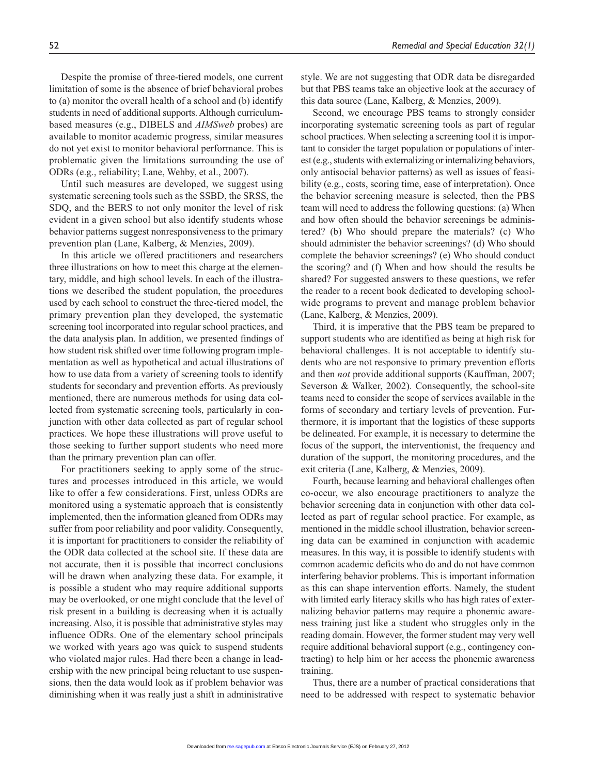Despite the promise of three-tiered models, one current limitation of some is the absence of brief behavioral probes to (a) monitor the overall health of a school and (b) identify students in need of additional supports. Although curriculumbased measures (e.g., DIBELS and *AIMSweb* probes) are available to monitor academic progress, similar measures do not yet exist to monitor behavioral performance. This is problematic given the limitations surrounding the use of ODRs (e.g., reliability; Lane, Wehby, et al., 2007).

Until such measures are developed, we suggest using systematic screening tools such as the SSBD, the SRSS, the SDQ, and the BERS to not only monitor the level of risk evident in a given school but also identify students whose behavior patterns suggest nonresponsiveness to the primary prevention plan (Lane, Kalberg, & Menzies, 2009).

In this article we offered practitioners and researchers three illustrations on how to meet this charge at the elementary, middle, and high school levels. In each of the illustrations we described the student population, the procedures used by each school to construct the three-tiered model, the primary prevention plan they developed, the systematic screening tool incorporated into regular school practices, and the data analysis plan. In addition, we presented findings of how student risk shifted over time following program implementation as well as hypothetical and actual illustrations of how to use data from a variety of screening tools to identify students for secondary and prevention efforts. As previously mentioned, there are numerous methods for using data collected from systematic screening tools, particularly in conjunction with other data collected as part of regular school practices. We hope these illustrations will prove useful to those seeking to further support students who need more than the primary prevention plan can offer.

For practitioners seeking to apply some of the structures and processes introduced in this article, we would like to offer a few considerations. First, unless ODRs are monitored using a systematic approach that is consistently implemented, then the information gleaned from ODRs may suffer from poor reliability and poor validity. Consequently, it is important for practitioners to consider the reliability of the ODR data collected at the school site. If these data are not accurate, then it is possible that incorrect conclusions will be drawn when analyzing these data. For example, it is possible a student who may require additional supports may be overlooked, or one might conclude that the level of risk present in a building is decreasing when it is actually increasing. Also, it is possible that administrative styles may influence ODRs. One of the elementary school principals we worked with years ago was quick to suspend students who violated major rules. Had there been a change in leadership with the new principal being reluctant to use suspensions, then the data would look as if problem behavior was diminishing when it was really just a shift in administrative

style. We are not suggesting that ODR data be disregarded but that PBS teams take an objective look at the accuracy of this data source (Lane, Kalberg, & Menzies, 2009).

Second, we encourage PBS teams to strongly consider incorporating systematic screening tools as part of regular school practices. When selecting a screening tool it is important to consider the target population or populations of interest (e.g., students with externalizing or internalizing behaviors, only antisocial behavior patterns) as well as issues of feasibility (e.g., costs, scoring time, ease of interpretation). Once the behavior screening measure is selected, then the PBS team will need to address the following questions: (a) When and how often should the behavior screenings be administered? (b) Who should prepare the materials? (c) Who should administer the behavior screenings? (d) Who should complete the behavior screenings? (e) Who should conduct the scoring? and (f) When and how should the results be shared? For suggested answers to these questions, we refer the reader to a recent book dedicated to developing schoolwide programs to prevent and manage problem behavior (Lane, Kalberg, & Menzies, 2009).

Third, it is imperative that the PBS team be prepared to support students who are identified as being at high risk for behavioral challenges. It is not acceptable to identify students who are not responsive to primary prevention efforts and then *not* provide additional supports (Kauffman, 2007; Severson & Walker, 2002). Consequently, the school-site teams need to consider the scope of services available in the forms of secondary and tertiary levels of prevention. Furthermore, it is important that the logistics of these supports be delineated. For example, it is necessary to determine the focus of the support, the interventionist, the frequency and duration of the support, the monitoring procedures, and the exit criteria (Lane, Kalberg, & Menzies, 2009).

Fourth, because learning and behavioral challenges often co-occur, we also encourage practitioners to analyze the behavior screening data in conjunction with other data collected as part of regular school practice. For example, as mentioned in the middle school illustration, behavior screening data can be examined in conjunction with academic measures. In this way, it is possible to identify students with common academic deficits who do and do not have common interfering behavior problems. This is important information as this can shape intervention efforts. Namely, the student with limited early literacy skills who has high rates of externalizing behavior patterns may require a phonemic awareness training just like a student who struggles only in the reading domain. However, the former student may very well require additional behavioral support (e.g., contingency contracting) to help him or her access the phonemic awareness training.

Thus, there are a number of practical considerations that need to be addressed with respect to systematic behavior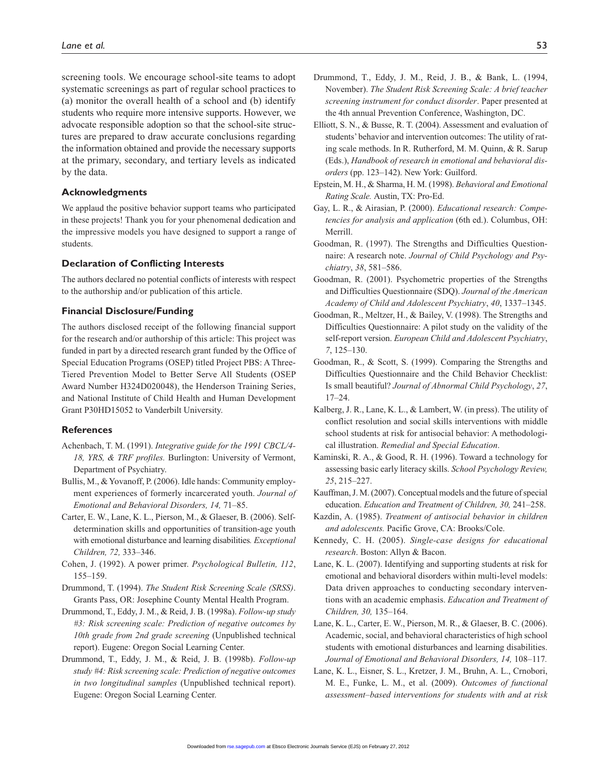screening tools. We encourage school-site teams to adopt systematic screenings as part of regular school practices to (a) monitor the overall health of a school and (b) identify students who require more intensive supports. However, we advocate responsible adoption so that the school-site structures are prepared to draw accurate conclusions regarding the information obtained and provide the necessary supports at the primary, secondary, and tertiary levels as indicated by the data.

#### **Acknowledgments**

We applaud the positive behavior support teams who participated in these projects! Thank you for your phenomenal dedication and the impressive models you have designed to support a range of students.

#### **Declaration of Conflicting Interests**

The authors declared no potential conflicts of interests with respect to the authorship and/or publication of this article.

#### **Financial Disclosure/Funding**

The authors disclosed receipt of the following financial support for the research and/or authorship of this article: This project was funded in part by a directed research grant funded by the Office of Special Education Programs (OSEP) titled Project PBS: A Three-Tiered Prevention Model to Better Serve All Students (OSEP Award Number H324D020048), the Henderson Training Series, and National Institute of Child Health and Human Development Grant P30HD15052 to Vanderbilt University.

#### **References**

- Achenbach, T. M. (1991). *Integrative guide for the 1991 CBCL/4- 18, YRS, & TRF profiles.* Burlington: University of Vermont, Department of Psychiatry.
- Bullis, M., & Yovanoff, P. (2006). Idle hands: Community employment experiences of formerly incarcerated youth. *Journal of Emotional and Behavioral Disorders, 14,* 71–85.
- Carter, E. W., Lane, K. L., Pierson, M., & Glaeser, B. (2006). Selfdetermination skills and opportunities of transition-age youth with emotional disturbance and learning disabilities*. Exceptional Children, 72,* 333–346.
- Cohen, J. (1992). A power primer. *Psychological Bulletin, 112*, 155–159.
- Drummond, T. (1994). *The Student Risk Screening Scale (SRSS)*. Grants Pass, OR: Josephine County Mental Health Program.
- Drummond, T., Eddy, J. M., & Reid, J. B. (1998a). *Follow-up study #3: Risk screening scale: Prediction of negative outcomes by 10th grade from 2nd grade screening* (Unpublished technical report). Eugene: Oregon Social Learning Center.
- Drummond, T., Eddy, J. M., & Reid, J. B. (1998b). *Follow-up study #4: Risk screening scale: Prediction of negative outcomes in two longitudinal samples* (Unpublished technical report). Eugene: Oregon Social Learning Center.
- Drummond, T., Eddy, J. M., Reid, J. B., & Bank, L. (1994, November). *The Student Risk Screening Scale: A brief teacher screening instrument for conduct disorder*. Paper presented at the 4th annual Prevention Conference, Washington, DC.
- Elliott, S. N., & Busse, R. T. (2004). Assessment and evaluation of students' behavior and intervention outcomes: The utility of rating scale methods. In R. Rutherford, M. M. Quinn, & R. Sarup (Eds.), *Handbook of research in emotional and behavioral disorders* (pp. 123–142). New York: Guilford.
- Epstein, M. H., & Sharma, H. M. (1998). *Behavioral and Emotional Rating Scale.* Austin, TX: Pro-Ed.
- Gay, L. R., & Airasian, P. (2000). *Educational research: Competencies for analysis and application* (6th ed.). Columbus, OH: Merrill.
- Goodman, R. (1997). The Strengths and Difficulties Questionnaire: A research note. *Journal of Child Psychology and Psychiatry*, *38*, 581–586.
- Goodman, R. (2001). Psychometric properties of the Strengths and Difficulties Questionnaire (SDQ). *Journal of the American Academy of Child and Adolescent Psychiatry*, *40*, 1337–1345.
- Goodman, R., Meltzer, H., & Bailey, V. (1998). The Strengths and Difficulties Questionnaire: A pilot study on the validity of the self-report version. *European Child and Adolescent Psychiatry*, *7*, 125–130.
- Goodman, R., & Scott, S. (1999). Comparing the Strengths and Difficulties Questionnaire and the Child Behavior Checklist: Is small beautiful? *Journal of Abnormal Child Psychology*, *27*, 17–24.
- Kalberg, J. R., Lane, K. L., & Lambert, W. (in press). The utility of conflict resolution and social skills interventions with middle school students at risk for antisocial behavior: A methodological illustration. *Remedial and Special Education*.
- Kaminski, R. A., & Good, R. H. (1996). Toward a technology for assessing basic early literacy skills. *School Psychology Review, 25*, 215–227.
- Kauffman, J. M. (2007). Conceptual models and the future of special education. *Education and Treatment of Children, 30,* 241–258.
- Kazdin, A. (1985). *Treatment of antisocial behavior in children and adolescents.* Pacific Grove, CA: Brooks/Cole.
- Kennedy, C. H. (2005). *Single-case designs for educational research*. Boston: Allyn & Bacon.
- Lane, K. L. (2007). Identifying and supporting students at risk for emotional and behavioral disorders within multi-level models: Data driven approaches to conducting secondary interventions with an academic emphasis. *Education and Treatment of Children, 30,* 135–164.
- Lane, K. L., Carter, E. W., Pierson, M. R., & Glaeser, B. C. (2006). Academic, social, and behavioral characteristics of high school students with emotional disturbances and learning disabilities. *Journal of Emotional and Behavioral Disorders, 14,* 108–117*.*
- Lane, K. L., Eisner, S. L., Kretzer, J. M., Bruhn, A. L., Crnobori, M. E., Funke, L. M., et al. (2009). *Outcomes of functional assessment–based interventions for students with and at risk*